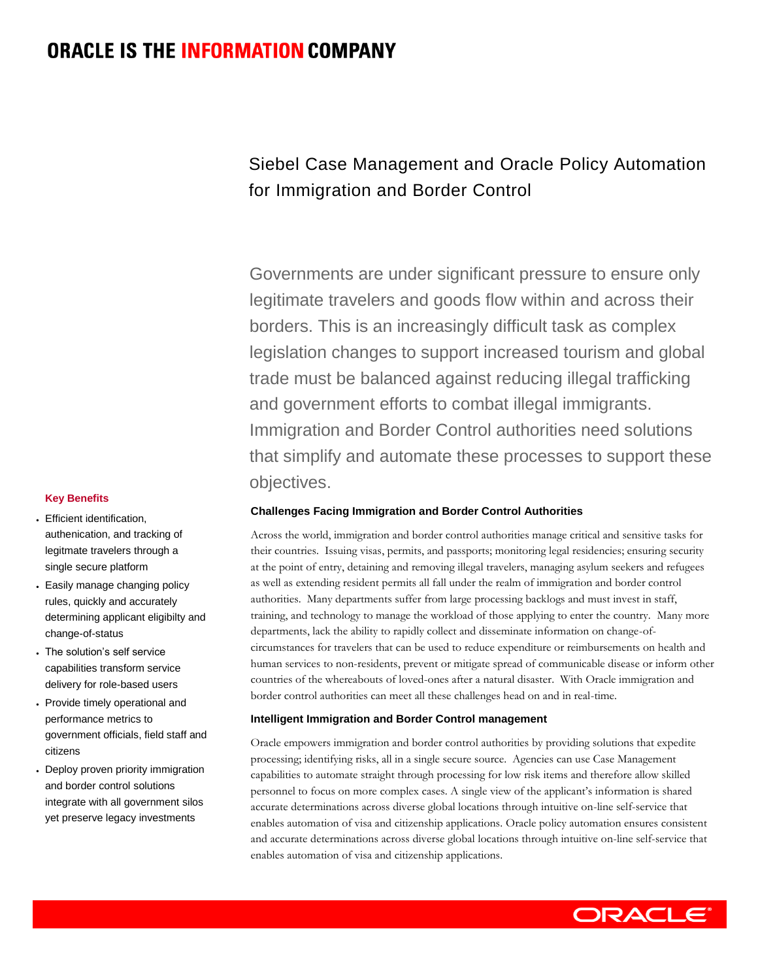# **ORACLE IS THE INFORMATION COMPANY**

# Siebel Case Management and Oracle Policy Automation for Immigration and Border Control

Governments are under significant pressure to ensure only legitimate travelers and goods flow within and across their borders. This is an increasingly difficult task as complex legislation changes to support increased tourism and global trade must be balanced against reducing illegal trafficking and government efforts to combat illegal immigrants. Immigration and Border Control authorities need solutions that simplify and automate these processes to support these objectives.

# **Challenges Facing Immigration and Border Control Authorities**

Across the world, immigration and border control authorities manage critical and sensitive tasks for their countries. Issuing visas, permits, and passports; monitoring legal residencies; ensuring security at the point of entry, detaining and removing illegal travelers, managing asylum seekers and refugees as well as extending resident permits all fall under the realm of immigration and border control authorities. Many departments suffer from large processing backlogs and must invest in staff, training, and technology to manage the workload of those applying to enter the country. Many more departments, lack the ability to rapidly collect and disseminate information on change-ofcircumstances for travelers that can be used to reduce expenditure or reimbursements on health and human services to non-residents, prevent or mitigate spread of communicable disease or inform other countries of the whereabouts of loved-ones after a natural disaster. With Oracle immigration and border control authorities can meet all these challenges head on and in real-time.

# **Intelligent Immigration and Border Control management**

Oracle empowers immigration and border control authorities by providing solutions that expedite processing; identifying risks, all in a single secure source. Agencies can use Case Management capabilities to automate straight through processing for low risk items and therefore allow skilled personnel to focus on more complex cases. A single view of the applicant's information is shared accurate determinations across diverse global locations through intuitive on-line self-service that enables automation of visa and citizenship applications. Oracle policy automation ensures consistent and accurate determinations across diverse global locations through intuitive on-line self-service that enables automation of visa and citizenship applications.

### **Key Benefits**

- Efficient identification, authenication, and tracking of legitmate travelers through a single secure platform
- Easily manage changing policy rules, quickly and accurately determining applicant eligibilty and change-of-status
- The solution's self service capabilities transform service delivery for role-based users
- Provide timely operational and performance metrics to government officials, field staff and citizens
- Deploy proven priority immigration and border control solutions integrate with all government silos yet preserve legacy investments